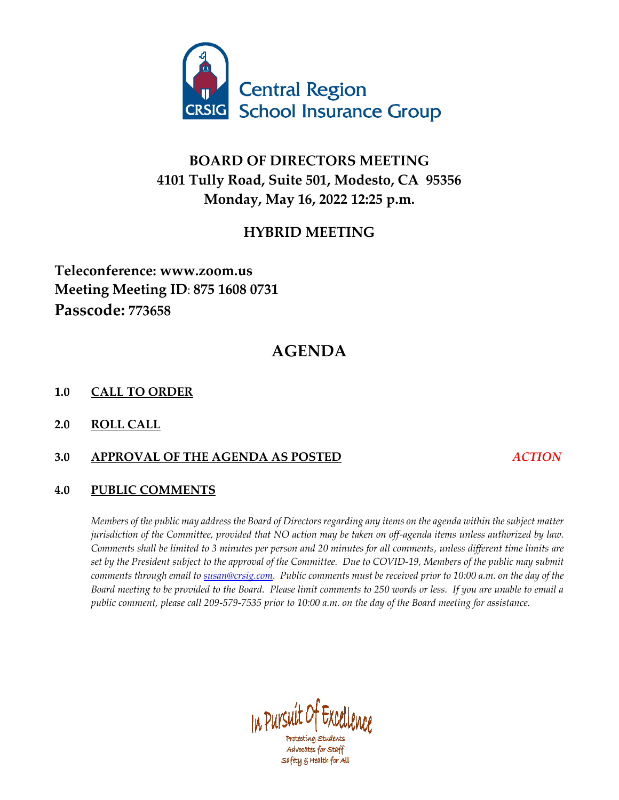

## **BOARD OF DIRECTORS MEETING 4101 Tully Road, Suite 501, Modesto, CA 95356 Monday, May 16, 2022 12:25 p.m.**

## **HYBRID MEETING**

## **Teleconference: www.zoom.us Meeting Meeting ID**: **875 1608 0731 Passcode: 773658**

# **AGENDA**

### **1.0 CALL TO ORDER**

**2.0 ROLL CALL**

### **3.0 APPROVAL OF THE AGENDA AS POSTED** *ACTION*

## **4.0 PUBLIC COMMENTS**

*Members of the public may address the Board of Directors regarding any items on the agenda within the subject matter jurisdiction of the Committee, provided that NO action may be taken on off-agenda items unless authorized by law. Comments shall be limited to 3 minutes per person and 20 minutes for all comments, unless different time limits are set by the President subject to the approval of the Committee. Due to COVID-19, Members of the public may submit comments through email t[o susan@crsig.com.](mailto:susan@crsig.com) Public comments must be received prior to 10:00 a.m. on the day of the Board meeting to be provided to the Board. Please limit comments to 250 words or less. If you are unable to email a*  public comment, please call 209-579-7535 prior to 10:00 a.m. on the day of the Board meeting for assistance.



Advocates for Staff Safety & Health for All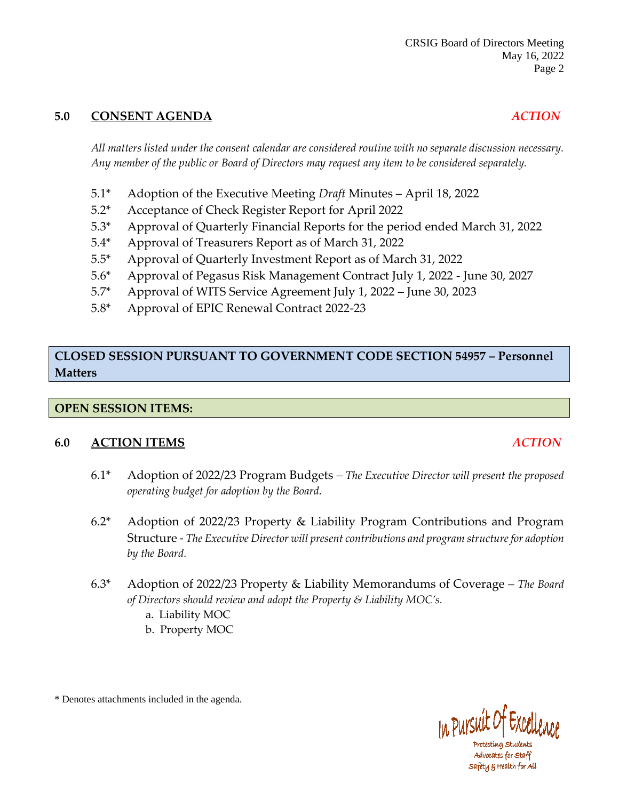### **5.0 CONSENT AGENDA** *ACTION*

#### *All matters listed under the consent calendar are considered routine with no separate discussion necessary. Any member of the public or Board of Directors may request any item to be considered separately.*

- 5.1\* Adoption of the Executive Meeting *Draft* Minutes April 18, 2022
- 5.2\* Acceptance of Check Register Report for April 2022
- 5.3\* Approval of Quarterly Financial Reports for the period ended March 31, 2022
- 5.4\* Approval of Treasurers Report as of March 31, 2022
- 5.5\* Approval of Quarterly Investment Report as of March 31, 2022
- 5.6\* Approval of Pegasus Risk Management Contract July 1, 2022 June 30, 2027
- 5.7\* Approval of WITS Service Agreement July 1, 2022 June 30, 2023
- 5.8\* Approval of EPIC Renewal Contract 2022-23

## **CLOSED SESSION PURSUANT TO GOVERNMENT CODE SECTION 54957 – Personnel Matters**

#### **OPEN SESSION ITEMS:**

#### **6.0 ACTION ITEMS** *ACTION*

- 6.1\* Adoption of 2022/23 Program Budgets *– The Executive Director will present the proposed operating budget for adoption by the Board.*
- 6.2\* Adoption of 2022/23 Property & Liability Program Contributions and Program Structure - *The Executive Director will present contributions and program structure for adoption by the Board.*
- 6.3\* Adoption of 2022/23 Property & Liability Memorandums of Coverage *The Board of Directors should review and adopt the Property & Liability MOC's.*
	- a. Liability MOC
	- b. Property MOC

\* Denotes attachments included in the agenda.



Protecting Students Advocates for Staff safety & Health for All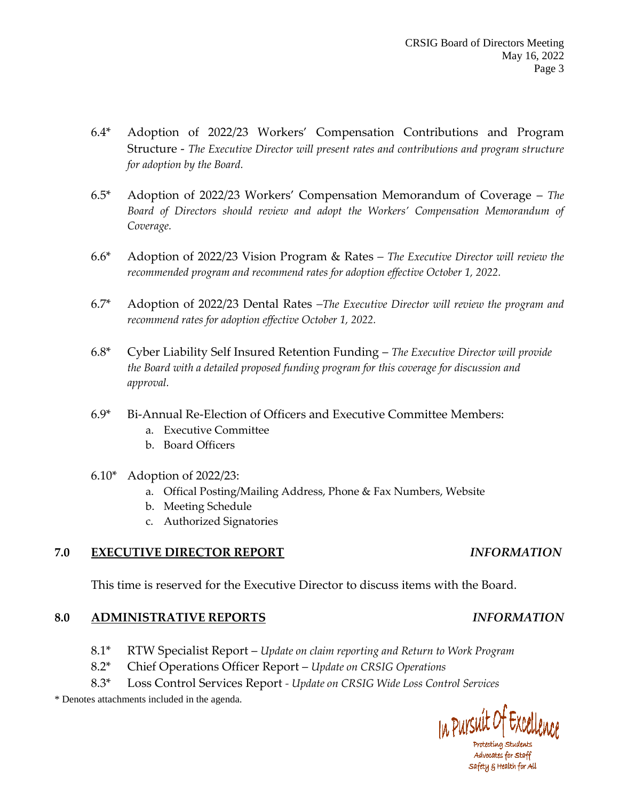- 6.4\* Adoption of 2022/23 Workers' Compensation Contributions and Program Structure - *The Executive Director will present rates and contributions and program structure for adoption by the Board.*
- 6.5\* Adoption of 2022/23 Workers' Compensation Memorandum of Coverage *The Board of Directors should review and adopt the Workers' Compensation Memorandum of Coverage.*
- 6.6\* Adoption of 2022/23 Vision Program & Rates *– The Executive Director will review the recommended program and recommend rates for adoption effective October 1, 2022.*
- 6.7\* Adoption of 2022/23 Dental Rates *–The Executive Director will review the program and recommend rates for adoption effective October 1, 2022.*
- 6.8\* Cyber Liability Self Insured Retention Funding *The Executive Director will provide the Board with a detailed proposed funding program for this coverage for discussion and approval.*
- 6.9\* Bi-Annual Re-Election of Officers and Executive Committee Members:
	- a. Executive Committee
	- b. Board Officers
- 6.10\* Adoption of 2022/23:
	- a. Offical Posting/Mailing Address, Phone & Fax Numbers, Website
	- b. Meeting Schedule
	- c. Authorized Signatories

#### **7.0 EXECUTIVE DIRECTOR REPORT** *INFORMATION*

This time is reserved for the Executive Director to discuss items with the Board.

#### **8.0 ADMINISTRATIVE REPORTS** *INFORMATION*

- 8.1\* RTW Specialist Report *Update on claim reporting and Return to Work Program*
- 8.2\* Chief Operations Officer Report *Update on CRSIG Operations*
- 8.3\* Loss Control Services Report *- Update on CRSIG Wide Loss Control Services*

\* Denotes attachments included in the agenda.

In Pursuit Of Excellen

Protecting Students Advocates for Staff safety 5 Health for All